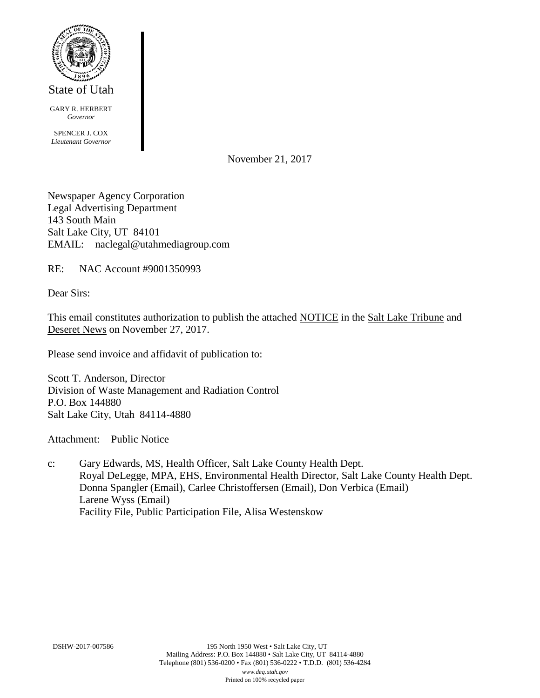

GARY R. HERBERT *Governor*

SPENCER J. COX *Lieutenant Governor*

November 21, 2017

Newspaper Agency Corporation Legal Advertising Department 143 South Main Salt Lake City, UT 84101 EMAIL: naclegal@utahmediagroup.com

RE: NAC Account #9001350993

Dear Sirs:

This email constitutes authorization to publish the attached NOTICE in the Salt Lake Tribune and Deseret News on November 27, 2017.

Please send invoice and affidavit of publication to:

Scott T. Anderson, Director Division of Waste Management and Radiation Control P.O. Box 144880 Salt Lake City, Utah 84114-4880

Attachment: Public Notice

c: Gary Edwards, MS, Health Officer, Salt Lake County Health Dept. Royal DeLegge, MPA, EHS, Environmental Health Director, Salt Lake County Health Dept. Donna Spangler (Email), Carlee Christoffersen (Email), Don Verbica (Email) Larene Wyss (Email) Facility File, Public Participation File, Alisa Westenskow